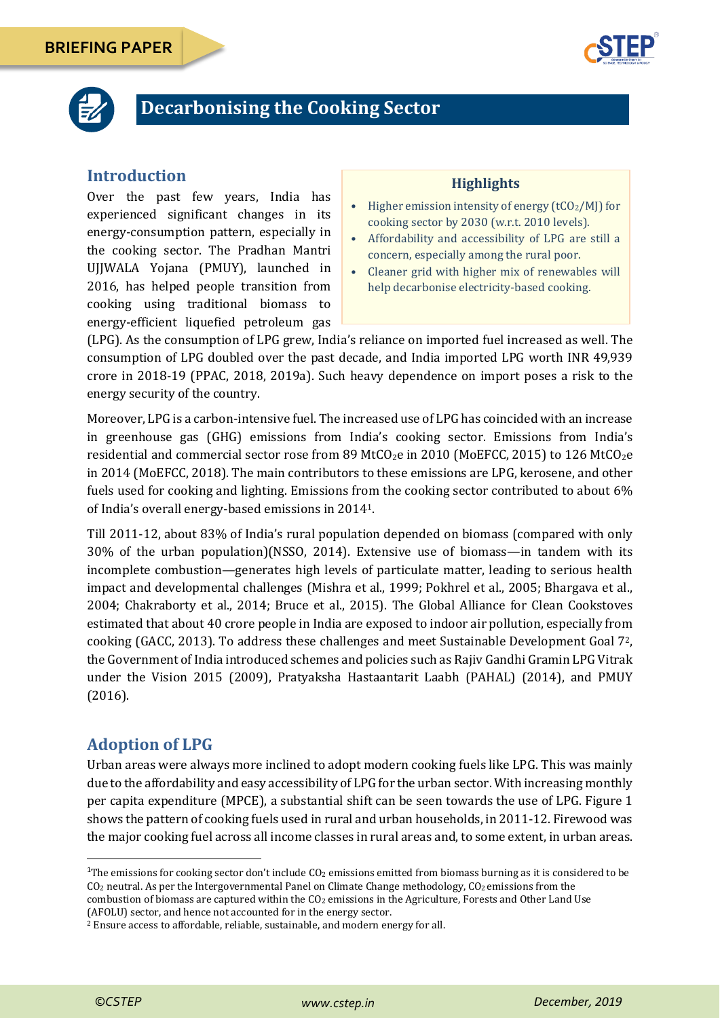



# **Decarbonising the Cooking Sector**

### **Introduction**

Over the past few years, India has experienced significant changes in its energy-consumption pattern, especially in the cooking sector. The Pradhan Mantri UJJWALA Yojana (PMUY), launched in 2016, has helped people transition from cooking using traditional biomass to energy-efficient liquefied petroleum gas

#### **Highlights**

- Higher emission intensity of energy  $(tCO<sub>2</sub>/M)$  for cooking sector by 2030 (w.r.t. 2010 levels).
- Affordability and accessibility of LPG are still a concern, especially among the rural poor.
- Cleaner grid with higher mix of renewables will help decarbonise electricity-based cooking.

(LPG). As the consumption of LPG grew, India's reliance on imported fuel increased as well. The consumption of LPG doubled over the past decade, and India imported LPG worth INR 49,939 crore in 2018-19 (PPAC, 2018, 2019a). Such heavy dependence on import poses a risk to the energy security of the country.

Moreover, LPG is a carbon-intensive fuel. The increased use of LPG has coincided with an increase in greenhouse gas (GHG) emissions from India's cooking sector. Emissions from India's residential and commercial sector rose from 89 MtCO<sub>2</sub>e in 2010 (MoEFCC, 2015) to 126 MtCO<sub>2</sub>e in 2014 (MoEFCC, 2018). The main contributors to these emissions are LPG, kerosene, and other fuels used for cooking and lighting. Emissions from the cooking sector contributed to about 6% of India's overall energy-based emissions in 20141.

Till 2011-12, about 83% of India's rural population depended on biomass (compared with only 30% of the urban population)(NSSO, 2014). Extensive use of biomass—in tandem with its incomplete combustion—generates high levels of particulate matter, leading to serious health impact and developmental challenges (Mishra et al., 1999; Pokhrel et al., 2005; Bhargava et al., 2004; Chakraborty et al., 2014; Bruce et al., 2015). The Global Alliance for Clean Cookstoves estimated that about 40 crore people in India are exposed to indoor air pollution, especially from cooking (GACC, 2013). To address these challenges and meet Sustainable Development Goal 72, the Government of India introduced schemes and policies such as Rajiv Gandhi Gramin LPG Vitrak under the Vision 2015 (2009), Pratyaksha Hastaantarit Laabh (PAHAL) (2014), and PMUY (2016).

# **Adoption of LPG**

Urban areas were always more inclined to adopt modern cooking fuels like LPG. This was mainly due to the affordability and easy accessibility of LPG for the urban sector. With increasing monthly per capita expenditure (MPCE), a substantial shift can be seen towards the use of LPG. [Figure 1](#page-1-0) shows the pattern of cooking fuels used in rural and urban households, in 2011-12. Firewood was the major cooking fuel across all income classes in rural areas and, to some extent, in urban areas.

combustion of biomass are captured within the CO<sub>2</sub> emissions in the Agriculture, Forests and Other Land Use (AFOLU) sector, and hence not accounted for in the energy sector.

1

<sup>&</sup>lt;sup>1</sup>The emissions for cooking sector don't include  $CO<sub>2</sub>$  emissions emitted from biomass burning as it is considered to be CO<sub>2</sub> neutral. As per the Intergovernmental Panel on Climate Change methodology, CO<sub>2</sub> emissions from the

<sup>2</sup> Ensure access to affordable, reliable, sustainable, and modern energy for all.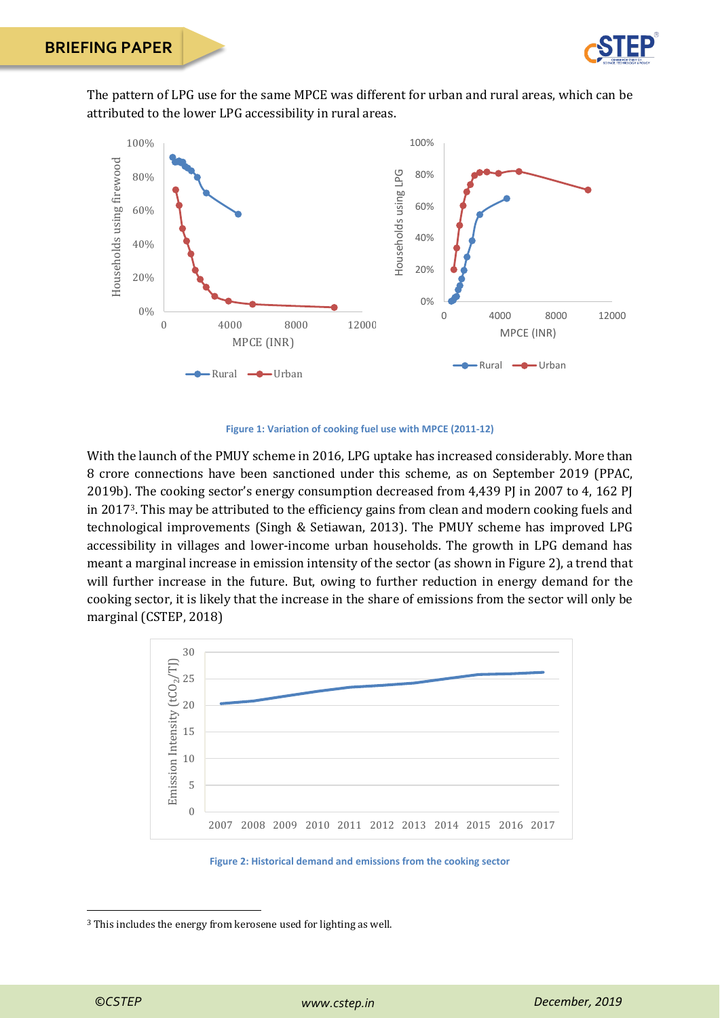

The pattern of LPG use for the same MPCE was different for urban and rural areas, which can be attributed to the lower LPG accessibility in rural areas.



**Figure 1: Variation of cooking fuel use with MPCE (2011-12)**

<span id="page-1-0"></span>With the launch of the PMUY scheme in 2016, LPG uptake has increased considerably. More than 8 crore connections have been sanctioned under this scheme, as on September 2019 (PPAC, 2019b). The cooking sector's energy consumption decreased from 4,439 PJ in 2007 to 4, 162 PJ in 20173. This may be attributed to the efficiency gains from clean and modern cooking fuels and technological improvements (Singh & Setiawan, 2013). The PMUY scheme has improved LPG accessibility in villages and lower-income urban households. The growth in LPG demand has meant a marginal increase in emission intensity of the sector (as shown i[n Figure 2\)](#page-1-1), a trend that will further increase in the future. But, owing to further reduction in energy demand for the cooking sector, it is likely that the increase in the share of emissions from the sector will only be marginal (CSTEP, 2018)





<sup>3</sup> This includes the energy from kerosene used for lighting as well.

<span id="page-1-1"></span>**.**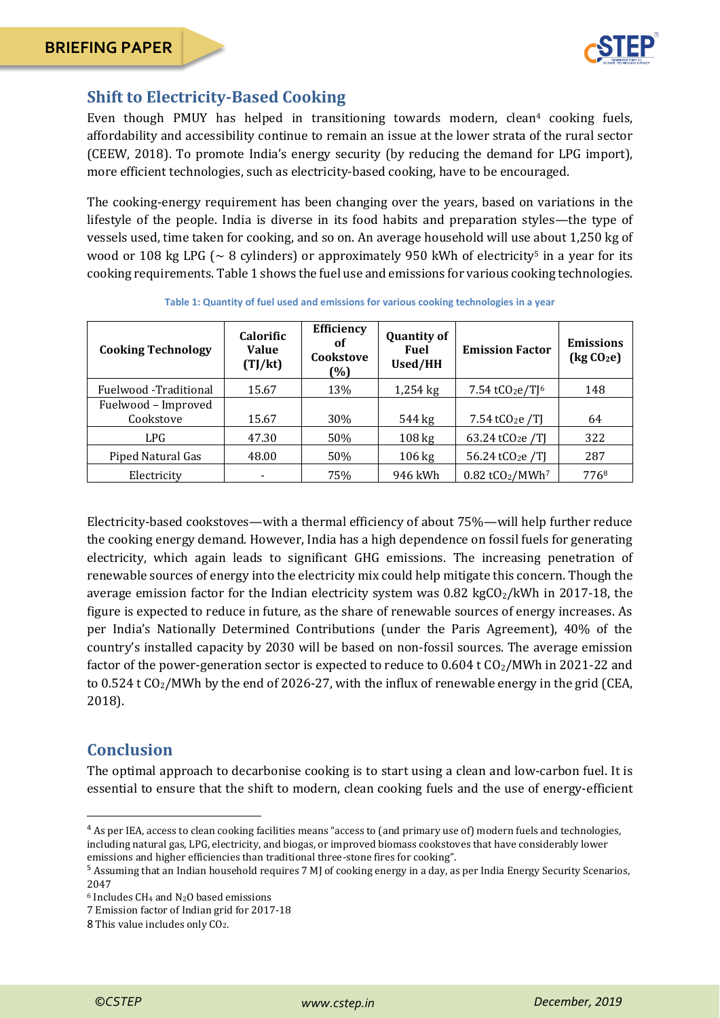

# **Shift to Electricity-Based Cooking**

Even though PMUY has helped in transitioning towards modern, clean<sup>4</sup> cooking fuels, affordability and accessibility continue to remain an issue at the lower strata of the rural sector (CEEW, 2018). To promote India's energy security (by reducing the demand for LPG import), more efficient technologies, such as electricity-based cooking, have to be encouraged.

The cooking-energy requirement has been changing over the years, based on variations in the lifestyle of the people. India is diverse in its food habits and preparation styles—the type of vessels used, time taken for cooking, and so on. An average household will use about 1,250 kg of wood or 108 kg LPG ( $\sim$  8 cylinders) or approximately 950 kWh of electricity<sup>5</sup> in a year for its cooking requirements. [Table 1](#page-2-0) shows the fuel use and emissions for various cooking technologies.

<span id="page-2-0"></span>

| <b>Cooking Technology</b> | <b>Calorific</b><br><b>Value</b><br>(TJ/kt) | Efficiency<br>оf<br>Cookstove<br>(%) | <b>Quantity of</b><br><b>Fuel</b><br><b>Used/HH</b> | <b>Emission Factor</b>                    | <b>Emissions</b><br>$\left(\text{kg }CO_{2}\text{e}\right)$ |
|---------------------------|---------------------------------------------|--------------------------------------|-----------------------------------------------------|-------------------------------------------|-------------------------------------------------------------|
| Fuelwood -Traditional     | 15.67                                       | 13%                                  | $1,254$ kg                                          | 7.54 tCO <sub>2</sub> e/T <sup>[6</sup> ] | 148                                                         |
| Fuelwood - Improved       |                                             |                                      |                                                     |                                           |                                                             |
| Cookstove                 | 15.67                                       | 30%                                  | 544 kg                                              | $7.54$ tCO <sub>2</sub> e /TJ             | 64                                                          |
| LPG.                      | 47.30                                       | 50%                                  | $108 \text{ kg}$                                    | 63.24 tCO <sub>2</sub> e /TJ              | 322                                                         |
| Piped Natural Gas         | 48.00                                       | 50%                                  | $106 \text{ kg}$                                    | 56.24 tCO <sub>2</sub> e /TJ              | 287                                                         |
| Electricity               |                                             | 75%                                  | 946 kWh                                             | $0.82$ tCO <sub>2</sub> /MWh <sup>7</sup> | 7768                                                        |

**Table 1: Quantity of fuel used and emissions for various cooking technologies in a year**

Electricity-based cookstoves—with a thermal efficiency of about 75%—will help further reduce the cooking energy demand. However, India has a high dependence on fossil fuels for generating electricity, which again leads to significant GHG emissions. The increasing penetration of renewable sources of energy into the electricity mix could help mitigate this concern. Though the average emission factor for the Indian electricity system was  $0.82 \text{ kgCO}_2/\text{kWh}$  in 2017-18, the figure is expected to reduce in future, as the share of renewable sources of energy increases. As per India's Nationally Determined Contributions (under the Paris Agreement), 40% of the country's installed capacity by 2030 will be based on non-fossil sources. The average emission factor of the power-generation sector is expected to reduce to  $0.604 \text{ t } CO_2/\text{MWh}$  in 2021-22 and to 0.524 t  $CO<sub>2</sub>/MWh$  by the end of 2026-27, with the influx of renewable energy in the grid (CEA, 2018).

### **Conclusion**

**.** 

The optimal approach to decarbonise cooking is to start using a clean and low-carbon fuel. It is essential to ensure that the shift to modern, clean cooking fuels and the use of energy-efficient

<sup>&</sup>lt;sup>4</sup> As per IEA, access to clean cooking facilities means "access to (and primary use of) modern fuels and technologies, including natural gas, LPG, electricity, and biogas, or improved biomass cookstoves that have considerably lower emissions and higher efficiencies than traditional three-stone fires for cooking".

<sup>5</sup> Assuming that an Indian household requires 7 MJ of cooking energy in a day, as per India Energy Security Scenarios, 2047

<sup>6</sup> Includes CH<sup>4</sup> and N2O based emissions

<sup>7</sup> Emission factor of Indian grid for 2017-18

<sup>8</sup> This value includes only CO2.